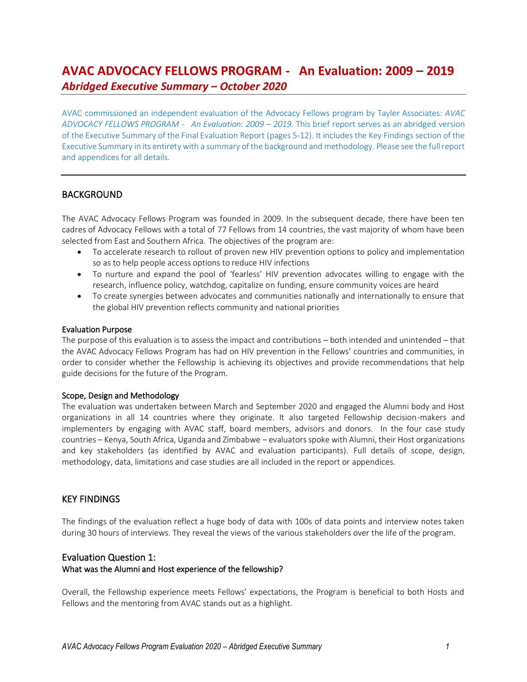# **AVAC ADVOCACY FELLOWS PROGRAM - An Evaluation: 2009 – 2019** *Abridged Executive Summary – October 2020*

AVAC commissioned an independent evaluation of the Advocacy Fellows program by Tayler Associates: *AVAC*  ADVOCACY FELLOWS PROGRAM - An Evaluation: 2009 – 2019. This brief report serves as an abridged version of the Executive Summary of the Final Evaluation Report (pages 5-12). It includes the Key Findings section of the Executive Summary in its entirety with a summary of the background and methodology. Please see the full report and appendices for all details.

## BACKGROUND

The AVAC Advocacy Fellows Program was founded in 2009. In the subsequent decade, there have been ten cadres of Advocacy Fellows with a total of 77 Fellows from 14 countries, the vast majority of whom have been selected from East and Southern Africa. The objectives of the program are:

- To accelerate research to rollout of proven new HIV prevention options to policy and implementation so as to help people access options to reduce HIV infections
- To nurture and expand the pool of 'fearless' HIV prevention advocates willing to engage with the research, influence policy, watchdog, capitalize on funding, ensure community voices are heard
- To create synergies between advocates and communities nationally and internationally to ensure that the global HIV prevention reflects community and national priorities

#### Evaluation Purpose

The purpose of this evaluation is to assess the impact and contributions – both intended and unintended – that the AVAC Advocacy Fellows Program has had on HIV prevention in the Fellows' countries and communities, in order to consider whether the Fellowship is achieving its objectives and provide recommendations that help guide decisions for the future of the Program.

#### Scope, Design and Methodology

The evaluation was undertaken between March and September 2020 and engaged the Alumni body and Host organizations in all 14 countries where they originate. It also targeted Fellowship decision-makers and implementers by engaging with AVAC staff, board members, advisors and donors. In the four case study countries – Kenya, South Africa, Uganda and Zimbabwe – evaluators spoke with Alumni, their Host organizations and key stakeholders (as identified by AVAC and evaluation participants). Full details of scope, design, methodology, data, limitations and case studies are all included in the report or appendices.

## KEY FINDINGS

The findings of the evaluation reflect a huge body of data with 100s of data points and interview notes taken during 30 hours of interviews. They reveal the views of the various stakeholders over the life of the program.

## Evaluation Question 1: What was the Alumni and Host experience of the fellowship?

Overall, the Fellowship experience meets Fellows' expectations, the Program is beneficial to both Hosts and Fellows and the mentoring from AVAC stands out as a highlight.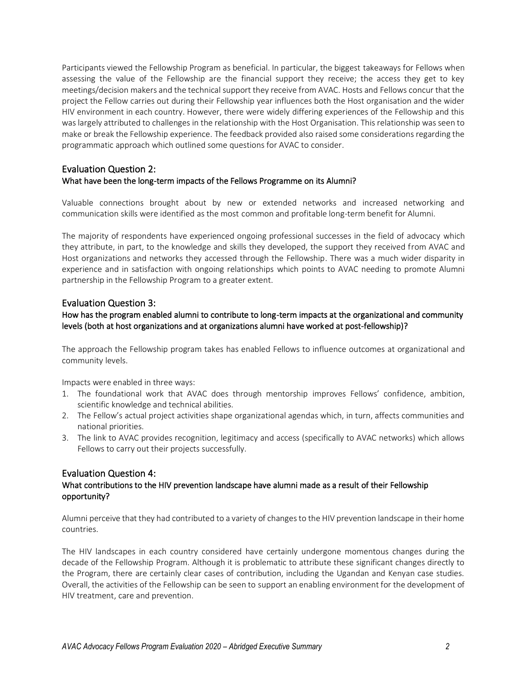Participants viewed the Fellowship Program as beneficial. In particular, the biggest takeaways for Fellows when assessing the value of the Fellowship are the financial support they receive; the access they get to key meetings/decision makers and the technical support they receive from AVAC. Hosts and Fellows concur that the project the Fellow carries out during their Fellowship year influences both the Host organisation and the wider HIV environment in each country. However, there were widely differing experiences of the Fellowship and this was largely attributed to challenges in the relationship with the Host Organisation. This relationship was seen to make or break the Fellowship experience. The feedback provided also raised some considerations regarding the programmatic approach which outlined some questions for AVAC to consider.

## Evaluation Question 2: What have been the long-term impacts of the Fellows Programme on its Alumni?

Valuable connections brought about by new or extended networks and increased networking and communication skills were identified as the most common and profitable long-term benefit for Alumni.

The majority of respondents have experienced ongoing professional successes in the field of advocacy which they attribute, in part, to the knowledge and skills they developed, the support they received from AVAC and Host organizations and networks they accessed through the Fellowship. There was a much wider disparity in experience and in satisfaction with ongoing relationships which points to AVAC needing to promote Alumni partnership in the Fellowship Program to a greater extent.

#### Evaluation Question 3:

## How has the program enabled alumni to contribute to long-term impacts at the organizational and community levels (both at host organizations and at organizations alumni have worked at post-fellowship)?

The approach the Fellowship program takes has enabled Fellows to influence outcomes at organizational and community levels.

Impacts were enabled in three ways:

- 1. The foundational work that AVAC does through mentorship improves Fellows' confidence, ambition, scientific knowledge and technical abilities.
- 2. The Fellow's actual project activities shape organizational agendas which, in turn, affects communities and national priorities.
- 3. The link to AVAC provides recognition, legitimacy and access (specifically to AVAC networks) which allows Fellows to carry out their projects successfully.

#### Evaluation Question 4:

## What contributions to the HIV prevention landscape have alumni made as a result of their Fellowship opportunity?

Alumni perceive that they had contributed to a variety of changes to the HIV prevention landscape in their home countries.

The HIV landscapes in each country considered have certainly undergone momentous changes during the decade of the Fellowship Program. Although it is problematic to attribute these significant changes directly to the Program, there are certainly clear cases of contribution, including the Ugandan and Kenyan case studies. Overall, the activities of the Fellowship can be seen to support an enabling environment for the development of HIV treatment, care and prevention.